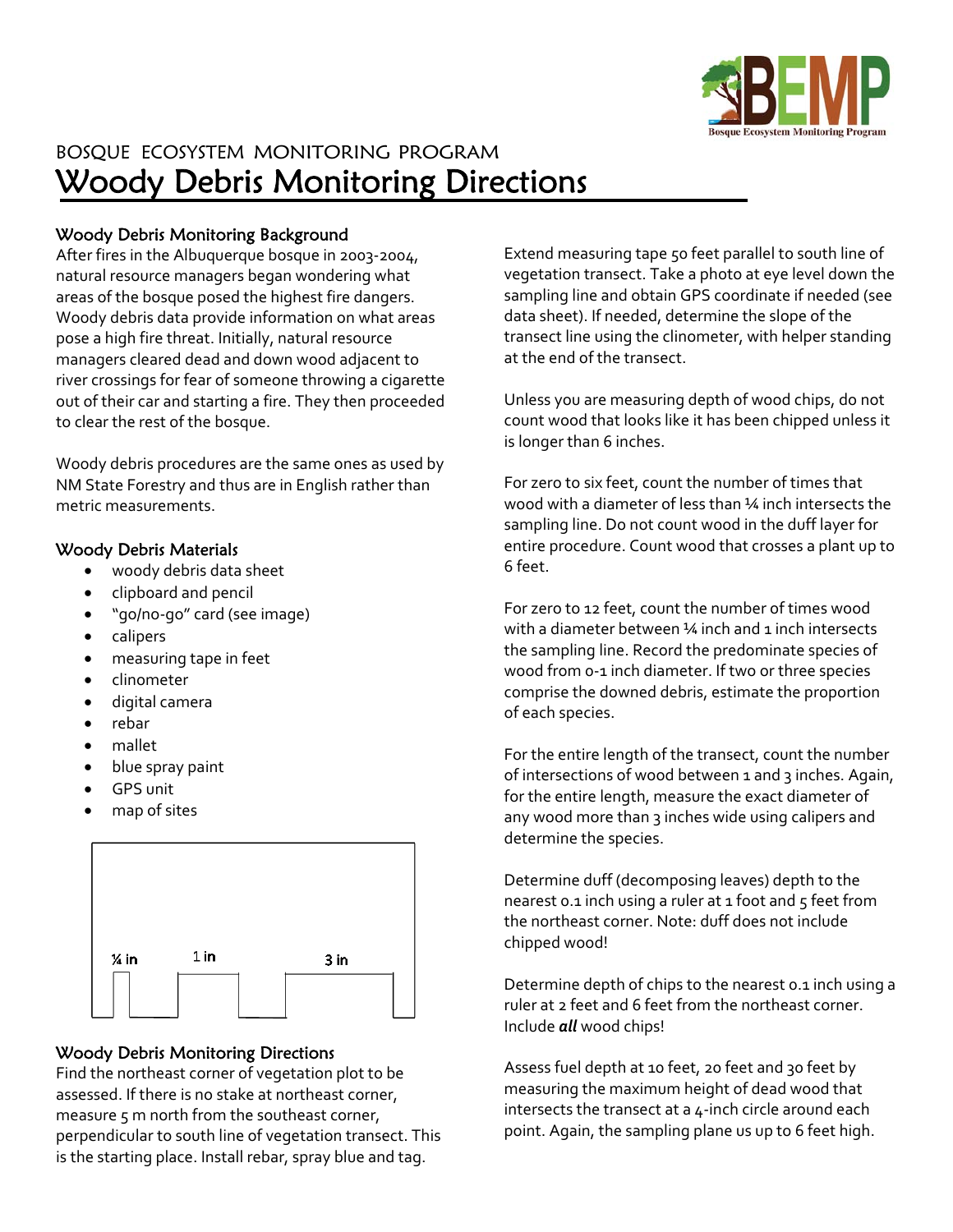

# BOSQUE ECOSYSTEM MONITORING PROGRAM Woody Debris Monitoring Directions

### Woody Debris Monitoring Background

After fires in the Albuquerque bosque in 2003‐2004, natural resource managers began wondering what areas of the bosque posed the highest fire dangers. Woody debris data provide information on what areas pose a high fire threat. Initially, natural resource managers cleared dead and down wood adjacent to river crossings for fear of someone throwing a cigarette out of their car and starting a fire. They then proceeded to clear the rest of the bosque.

Woody debris procedures are the same ones as used by NM State Forestry and thus are in English rather than metric measurements.

#### Woody Debris Materials

- woody debris data sheet
- clipboard and pencil
- "go/no‐go" card (see image)
- calipers
- measuring tape in feet
- clinometer
- digital camera
- rebar
- mallet
- blue spray paint
- GPS unit
- map of sites



#### Woody Debris Monitoring Directions

Find the northeast corner of vegetation plot to be assessed. If there is no stake at northeast corner, measure 5 m north from the southeast corner, perpendicular to south line of vegetation transect. This is the starting place. Install rebar, spray blue and tag.

Extend measuring tape 50 feet parallel to south line of vegetation transect. Take a photo at eye level down the sampling line and obtain GPS coordinate if needed (see data sheet). If needed, determine the slope of the transect line using the clinometer, with helper standing at the end of the transect.

Unless you are measuring depth of wood chips, do not count wood that looks like it has been chipped unless it is longer than 6 inches.

For zero to six feet, count the number of times that wood with a diameter of less than ¼ inch intersects the sampling line. Do not count wood in the duff layer for entire procedure. Count wood that crosses a plant up to 6 feet.

For zero to 12 feet, count the number of times wood with a diameter between 14 inch and 1 inch intersects the sampling line. Record the predominate species of wood from 0-1 inch diameter. If two or three species comprise the downed debris, estimate the proportion of each species.

For the entire length of the transect, count the number of intersections of wood between 1 and 3 inches. Again, for the entire length, measure the exact diameter of any wood more than 3 inches wide using calipers and determine the species.

Determine duff (decomposing leaves) depth to the nearest 0.1 inch using a ruler at 1 foot and 5 feet from the northeast corner. Note: duff does not include chipped wood!

Determine depth of chips to the nearest 0.1 inch using a ruler at 2 feet and 6 feet from the northeast corner. Include *all* wood chips!

Assess fuel depth at 10 feet, 20 feet and 30 feet by measuring the maximum height of dead wood that intersects the transect at a 4‐inch circle around each point. Again, the sampling plane us up to 6 feet high.